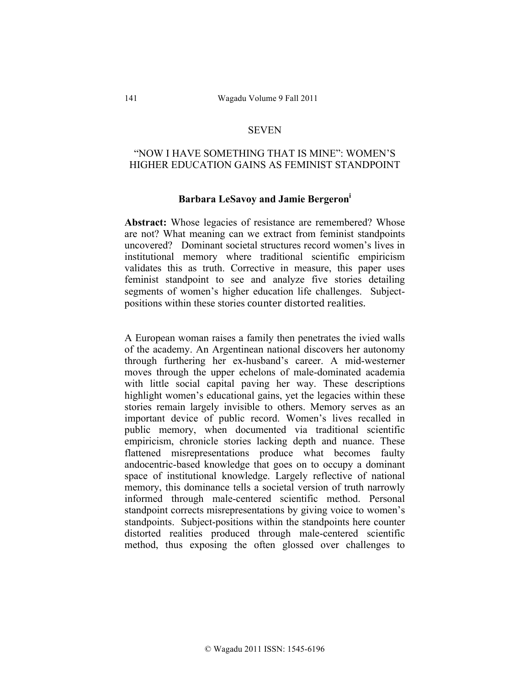## **SEVEN**

# "NOW I HAVE SOMETHING THAT IS MINE": WOMEN'S HIGHER EDUCATION GAINS AS FEMINIST STANDPOINT

#### **Barbara LeSavoy and Jamie Bergeroni**

Abstract: Whose legacies of resistance are remembered? Whose are not? What meaning can we extract from feminist standpoints uncovered? Dominant societal structures record women's lives in institutional memory where traditional scientific empiricism validates this as truth. Corrective in measure, this paper uses feminist standpoint to see and analyze five stories detailing segments of women's higher education life challenges. Subjectpositions within these stories counter distorted realities.

A European woman raises a family then penetrates the ivied walls of the academy. An Argentinean national discovers her autonomy through furthering her ex-husband's career. A mid-westerner moves through the upper echelons of male-dominated academia with little social capital paving her way. These descriptions highlight women's educational gains, yet the legacies within these stories remain largely invisible to others. Memory serves as an important device of public record. Women's lives recalled in public memory, when documented via traditional scientific empiricism, chronicle stories lacking depth and nuance. These flattened misrepresentations produce what becomes faulty andocentric-based knowledge that goes on to occupy a dominant space of institutional knowledge. Largely reflective of national memory, this dominance tells a societal version of truth narrowly informed through male-centered scientific method. Personal standpoint corrects misrepresentations by giving voice to women's standpoints. Subject-positions within the standpoints here counter distorted realities produced through male-centered scientific method, thus exposing the often glossed over challenges to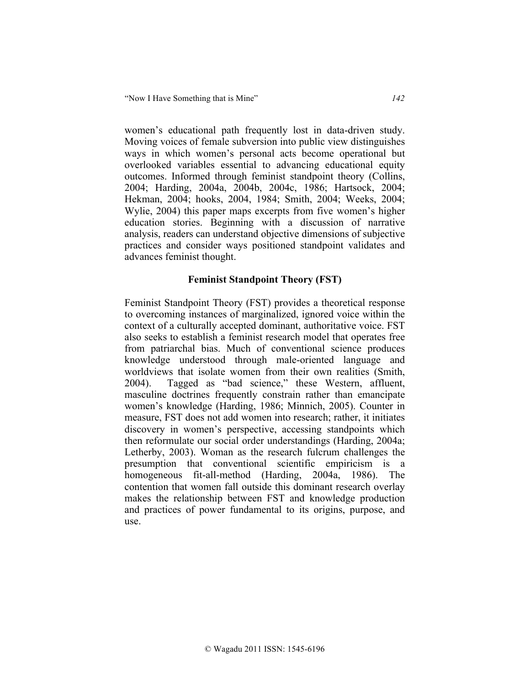women's educational path frequently lost in data-driven study. Moving voices of female subversion into public view distinguishes ways in which women's personal acts become operational but overlooked variables essential to advancing educational equity outcomes. Informed through feminist standpoint theory (Collins, 2004; Harding, 2004a, 2004b, 2004c, 1986; Hartsock, 2004; Hekman, 2004; hooks, 2004, 1984; Smith, 2004; Weeks, 2004; Wylie, 2004) this paper maps excerpts from five women's higher education stories. Beginning with a discussion of narrative analysis, readers can understand objective dimensions of subjective practices and consider ways positioned standpoint validates and advances feminist thought.

# **Feminist Standpoint Theory (FST)**

Feminist Standpoint Theory (FST) provides a theoretical response to overcoming instances of marginalized, ignored voice within the context of a culturally accepted dominant, authoritative voice. FST also seeks to establish a feminist research model that operates free from patriarchal bias. Much of conventional science produces knowledge understood through male-oriented language and worldviews that isolate women from their own realities (Smith, 2004). Tagged as "bad science," these Western, affluent, masculine doctrines frequently constrain rather than emancipate women's knowledge (Harding, 1986; Minnich, 2005). Counter in measure, FST does not add women into research; rather, it initiates discovery in women's perspective, accessing standpoints which then reformulate our social order understandings (Harding, 2004a; Letherby, 2003). Woman as the research fulcrum challenges the presumption that conventional scientific empiricism is a homogeneous fit-all-method (Harding, 2004a, 1986). The contention that women fall outside this dominant research overlay makes the relationship between FST and knowledge production and practices of power fundamental to its origins, purpose, and use.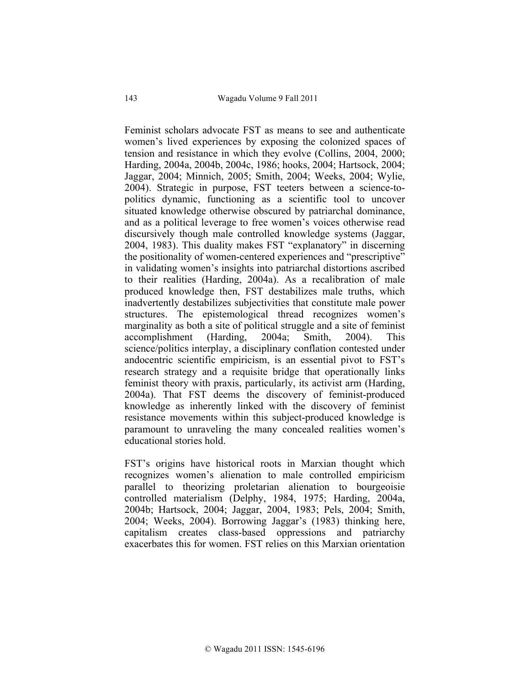Feminist scholars advocate FST as means to see and authenticate women's lived experiences by exposing the colonized spaces of tension and resistance in which they evolve (Collins, 2004, 2000; Harding, 2004a, 2004b, 2004c, 1986; hooks, 2004; Hartsock, 2004; Jaggar, 2004; Minnich, 2005; Smith, 2004; Weeks, 2004; Wylie, 2004). Strategic in purpose, FST teeters between a science-topolitics dynamic, functioning as a scientific tool to uncover situated knowledge otherwise obscured by patriarchal dominance, and as a political leverage to free women's voices otherwise read discursively though male controlled knowledge systems (Jaggar, 2004, 1983). This duality makes FST "explanatory" in discerning the positionality of women-centered experiences and "prescriptive" in validating women's insights into patriarchal distortions ascribed to their realities (Harding, 2004a). As a recalibration of male produced knowledge then, FST destabilizes male truths, which inadvertently destabilizes subjectivities that constitute male power structures. The epistemological thread recognizes women's marginality as both a site of political struggle and a site of feminist accomplishment (Harding, 2004a; Smith, 2004). This science/politics interplay, a disciplinary conflation contested under andocentric scientific empiricism, is an essential pivot to FST's research strategy and a requisite bridge that operationally links feminist theory with praxis, particularly, its activist arm (Harding, 2004a). That FST deems the discovery of feminist-produced knowledge as inherently linked with the discovery of feminist resistance movements within this subject-produced knowledge is paramount to unraveling the many concealed realities women's educational stories hold.

FST's origins have historical roots in Marxian thought which recognizes women's alienation to male controlled empiricism parallel to theorizing proletarian alienation to bourgeoisie controlled materialism (Delphy, 1984, 1975; Harding, 2004a, 2004b; Hartsock, 2004; Jaggar, 2004, 1983; Pels, 2004; Smith, 2004; Weeks, 2004). Borrowing Jaggar's (1983) thinking here, capitalism creates class-based oppressions and patriarchy exacerbates this for women. FST relies on this Marxian orientation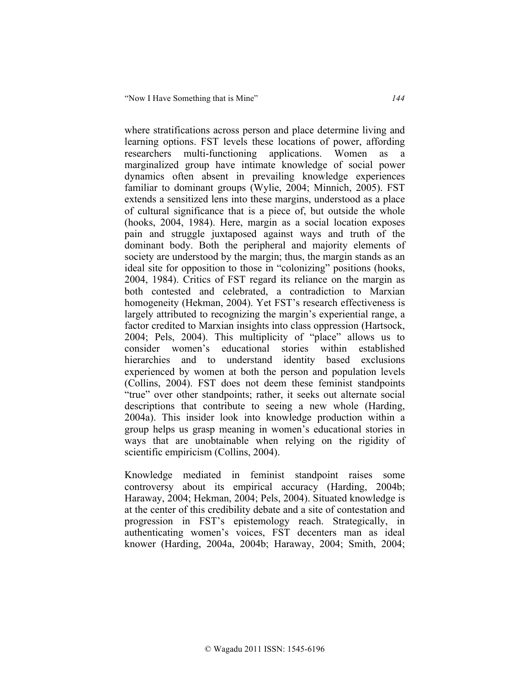where stratifications across person and place determine living and learning options. FST levels these locations of power, affording researchers multi-functioning applications. Women as a marginalized group have intimate knowledge of social power dynamics often absent in prevailing knowledge experiences familiar to dominant groups (Wylie, 2004; Minnich, 2005). FST extends a sensitized lens into these margins, understood as a place of cultural significance that is a piece of, but outside the whole (hooks, 2004, 1984). Here, margin as a social location exposes pain and struggle juxtaposed against ways and truth of the dominant body. Both the peripheral and majority elements of society are understood by the margin; thus, the margin stands as an ideal site for opposition to those in "colonizing" positions (hooks, 2004, 1984). Critics of FST regard its reliance on the margin as both contested and celebrated, a contradiction to Marxian homogeneity (Hekman, 2004). Yet FST's research effectiveness is largely attributed to recognizing the margin's experiential range, a factor credited to Marxian insights into class oppression (Hartsock, 2004; Pels, 2004). This multiplicity of "place" allows us to consider women's educational stories within established hierarchies and to understand identity based exclusions experienced by women at both the person and population levels (Collins, 2004). FST does not deem these feminist standpoints "true" over other standpoints; rather, it seeks out alternate social descriptions that contribute to seeing a new whole (Harding, 2004a). This insider look into knowledge production within a group helps us grasp meaning in women's educational stories in ways that are unobtainable when relying on the rigidity of scientific empiricism (Collins, 2004).

Knowledge mediated in feminist standpoint raises some controversy about its empirical accuracy (Harding, 2004b; Haraway, 2004; Hekman, 2004; Pels, 2004). Situated knowledge is at the center of this credibility debate and a site of contestation and progression in FST's epistemology reach. Strategically, in authenticating women's voices, FST decenters man as ideal knower (Harding, 2004a, 2004b; Haraway, 2004; Smith, 2004;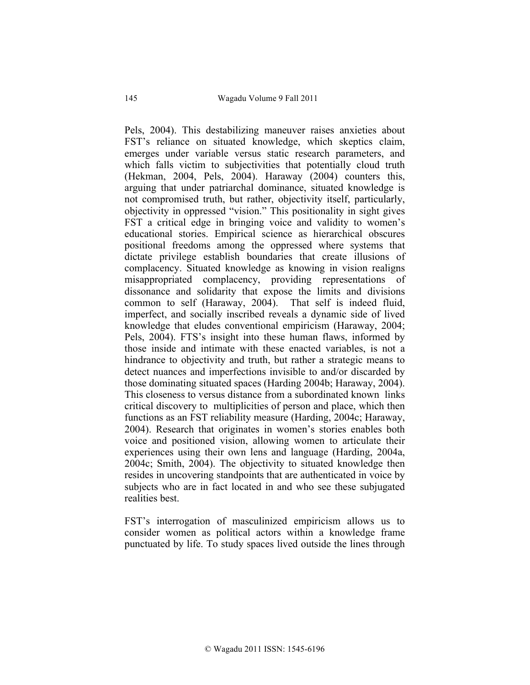Pels, 2004). This destabilizing maneuver raises anxieties about FST's reliance on situated knowledge, which skeptics claim, emerges under variable versus static research parameters, and which falls victim to subjectivities that potentially cloud truth (Hekman, 2004, Pels, 2004). Haraway (2004) counters this, arguing that under patriarchal dominance, situated knowledge is not compromised truth, but rather, objectivity itself, particularly, objectivity in oppressed "vision." This positionality in sight gives FST a critical edge in bringing voice and validity to women's educational stories. Empirical science as hierarchical obscures positional freedoms among the oppressed where systems that dictate privilege establish boundaries that create illusions of complacency. Situated knowledge as knowing in vision realigns misappropriated complacency, providing representations of dissonance and solidarity that expose the limits and divisions common to self (Haraway, 2004). That self is indeed fluid, imperfect, and socially inscribed reveals a dynamic side of lived knowledge that eludes conventional empiricism (Haraway, 2004; Pels, 2004). FTS's insight into these human flaws, informed by those inside and intimate with these enacted variables, is not a hindrance to objectivity and truth, but rather a strategic means to detect nuances and imperfections invisible to and/or discarded by those dominating situated spaces (Harding 2004b; Haraway, 2004). This closeness to versus distance from a subordinated known links critical discovery to multiplicities of person and place, which then functions as an FST reliability measure (Harding, 2004c; Haraway, 2004). Research that originates in women's stories enables both voice and positioned vision, allowing women to articulate their experiences using their own lens and language (Harding, 2004a, 2004c; Smith, 2004). The objectivity to situated knowledge then resides in uncovering standpoints that are authenticated in voice by subjects who are in fact located in and who see these subjugated realities best.

FST's interrogation of masculinized empiricism allows us to consider women as political actors within a knowledge frame punctuated by life. To study spaces lived outside the lines through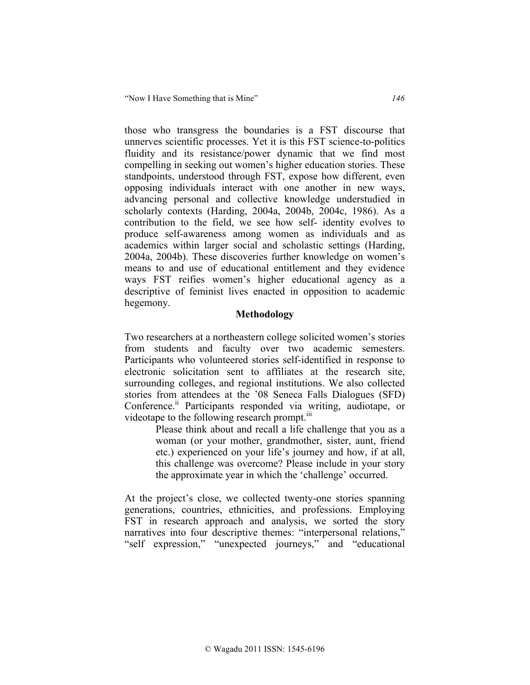those who transgress the boundaries is a FST discourse that unnerves scientific processes. Yet it is this FST science-to-politics fluidity and its resistance/power dynamic that we find most compelling in seeking out women's higher education stories. These standpoints, understood through FST, expose how different, even opposing individuals interact with one another in new ways, advancing personal and collective knowledge understudied in scholarly contexts (Harding, 2004a, 2004b, 2004c, 1986). As a contribution to the field, we see how self- identity evolves to produce self-awareness among women as individuals and as academics within larger social and scholastic settings (Harding, 2004a, 2004b). These discoveries further knowledge on women's means to and use of educational entitlement and they evidence ways FST reifies women's higher educational agency as a descriptive of feminist lives enacted in opposition to academic hegemony.

# **Methodology**

Two researchers at a northeastern college solicited women's stories from students and faculty over two academic semesters. Participants who volunteered stories self-identified in response to electronic solicitation sent to affiliates at the research site, surrounding colleges, and regional institutions. We also collected stories from attendees at the '08 Seneca Falls Dialogues (SFD) Conference.<sup>ii</sup> Participants responded via writing, audiotape, or videotape to the following research prompt.<sup>iii</sup>

> Please think about and recall a life challenge that you as a woman (or your mother, grandmother, sister, aunt, friend etc.) experienced on your life's journey and how, if at all, this challenge was overcome? Please include in your story the approximate year in which the 'challenge' occurred.

At the project's close, we collected twenty-one stories spanning generations, countries, ethnicities, and professions. Employing FST in research approach and analysis, we sorted the story narratives into four descriptive themes: "interpersonal relations," "self expression," "unexpected journeys," and "educational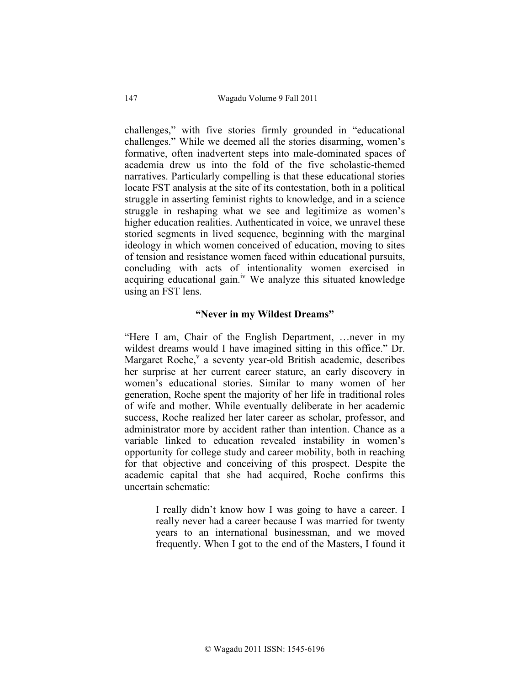challenges," with five stories firmly grounded in "educational challenges." While we deemed all the stories disarming, women's formative, often inadvertent steps into male-dominated spaces of academia drew us into the fold of the five scholastic-themed narratives. Particularly compelling is that these educational stories locate FST analysis at the site of its contestation, both in a political struggle in asserting feminist rights to knowledge, and in a science struggle in reshaping what we see and legitimize as women's higher education realities. Authenticated in voice, we unravel these storied segments in lived sequence, beginning with the marginal ideology in which women conceived of education, moving to sites of tension and resistance women faced within educational pursuits, concluding with acts of intentionality women exercised in acquiring educational gain.<sup>iv</sup> We analyze this situated knowledge using an FST lens.

## **"Never in my Wildest Dreams"**

"Here I am, Chair of the English Department, …never in my wildest dreams would I have imagined sitting in this office." Dr. Margaret Roche, $v$  a seventy year-old British academic, describes her surprise at her current career stature, an early discovery in women's educational stories. Similar to many women of her generation, Roche spent the majority of her life in traditional roles of wife and mother. While eventually deliberate in her academic success, Roche realized her later career as scholar, professor, and administrator more by accident rather than intention. Chance as a variable linked to education revealed instability in women's opportunity for college study and career mobility, both in reaching for that objective and conceiving of this prospect. Despite the academic capital that she had acquired, Roche confirms this uncertain schematic:

> I really didn't know how I was going to have a career. I really never had a career because I was married for twenty years to an international businessman, and we moved frequently. When I got to the end of the Masters, I found it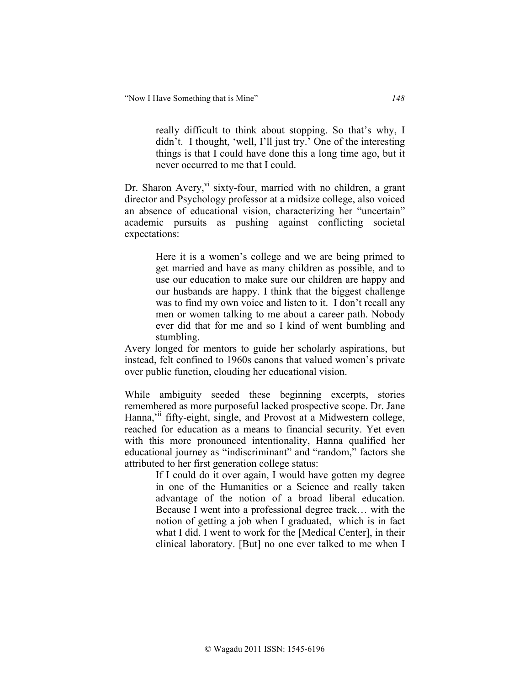really difficult to think about stopping. So that's why, I didn't. I thought, 'well, I'll just try.' One of the interesting things is that I could have done this a long time ago, but it never occurred to me that I could.

Dr. Sharon Avery, vi sixty-four, married with no children, a grant director and Psychology professor at a midsize college, also voiced an absence of educational vision, characterizing her "uncertain" academic pursuits as pushing against conflicting societal expectations:

> Here it is a women's college and we are being primed to get married and have as many children as possible, and to use our education to make sure our children are happy and our husbands are happy. I think that the biggest challenge was to find my own voice and listen to it. I don't recall any men or women talking to me about a career path. Nobody ever did that for me and so I kind of went bumbling and stumbling.

Avery longed for mentors to guide her scholarly aspirations, but instead, felt confined to 1960s canons that valued women's private over public function, clouding her educational vision.

While ambiguity seeded these beginning excerpts, stories remembered as more purposeful lacked prospective scope. Dr. Jane Hanna,<sup>vii</sup> fifty-eight, single, and Provost at a Midwestern college, reached for education as a means to financial security. Yet even with this more pronounced intentionality, Hanna qualified her educational journey as "indiscriminant" and "random," factors she attributed to her first generation college status:

> If I could do it over again, I would have gotten my degree in one of the Humanities or a Science and really taken advantage of the notion of a broad liberal education. Because I went into a professional degree track… with the notion of getting a job when I graduated, which is in fact what I did. I went to work for the [Medical Center], in their clinical laboratory. [But] no one ever talked to me when I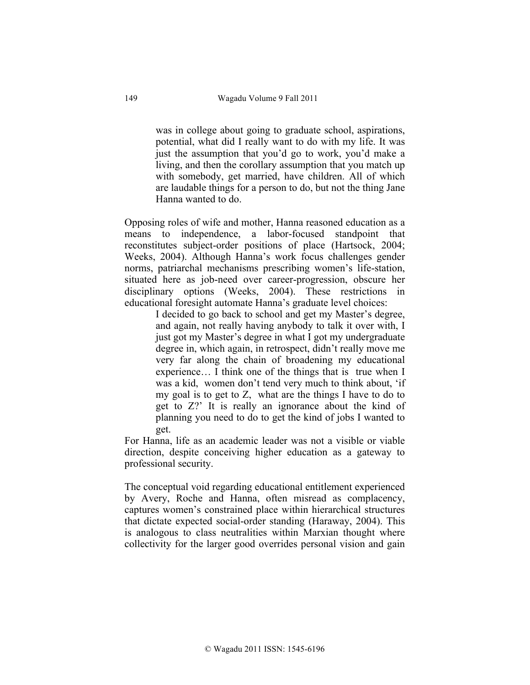was in college about going to graduate school, aspirations, potential, what did I really want to do with my life. It was just the assumption that you'd go to work, you'd make a living, and then the corollary assumption that you match up with somebody, get married, have children. All of which are laudable things for a person to do, but not the thing Jane Hanna wanted to do.

Opposing roles of wife and mother, Hanna reasoned education as a means to independence, a labor-focused standpoint that reconstitutes subject-order positions of place (Hartsock, 2004; Weeks, 2004). Although Hanna's work focus challenges gender norms, patriarchal mechanisms prescribing women's life-station, situated here as job-need over career-progression, obscure her disciplinary options (Weeks, 2004). These restrictions in educational foresight automate Hanna's graduate level choices:

> I decided to go back to school and get my Master's degree, and again, not really having anybody to talk it over with, I just got my Master's degree in what I got my undergraduate degree in, which again, in retrospect, didn't really move me very far along the chain of broadening my educational experience… I think one of the things that is true when I was a kid, women don't tend very much to think about, 'if my goal is to get to Z, what are the things I have to do to get to Z?' It is really an ignorance about the kind of planning you need to do to get the kind of jobs I wanted to get.

For Hanna, life as an academic leader was not a visible or viable direction, despite conceiving higher education as a gateway to professional security.

The conceptual void regarding educational entitlement experienced by Avery, Roche and Hanna, often misread as complacency, captures women's constrained place within hierarchical structures that dictate expected social-order standing (Haraway, 2004). This is analogous to class neutralities within Marxian thought where collectivity for the larger good overrides personal vision and gain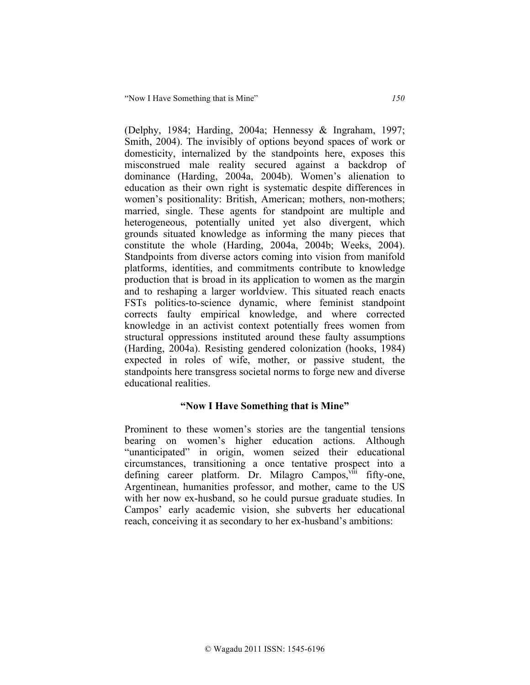(Delphy, 1984; Harding, 2004a; Hennessy & Ingraham, 1997; Smith, 2004). The invisibly of options beyond spaces of work or domesticity, internalized by the standpoints here, exposes this misconstrued male reality secured against a backdrop of dominance (Harding, 2004a, 2004b). Women's alienation to education as their own right is systematic despite differences in women's positionality: British, American; mothers, non-mothers; married, single. These agents for standpoint are multiple and heterogeneous, potentially united yet also divergent, which grounds situated knowledge as informing the many pieces that constitute the whole (Harding, 2004a, 2004b; Weeks, 2004). Standpoints from diverse actors coming into vision from manifold platforms, identities, and commitments contribute to knowledge production that is broad in its application to women as the margin and to reshaping a larger worldview. This situated reach enacts FSTs politics-to-science dynamic, where feminist standpoint corrects faulty empirical knowledge, and where corrected knowledge in an activist context potentially frees women from structural oppressions instituted around these faulty assumptions (Harding, 2004a). Resisting gendered colonization (hooks, 1984) expected in roles of wife, mother, or passive student, the standpoints here transgress societal norms to forge new and diverse educational realities.

## **"Now I Have Something that is Mine"**

Prominent to these women's stories are the tangential tensions bearing on women's higher education actions. Although "unanticipated" in origin, women seized their educational circumstances, transitioning a once tentative prospect into a defining career platform. Dr. Milagro Campos,<sup>viii</sup> fifty-one, Argentinean, humanities professor, and mother, came to the US with her now ex-husband, so he could pursue graduate studies. In Campos' early academic vision, she subverts her educational reach, conceiving it as secondary to her ex-husband's ambitions: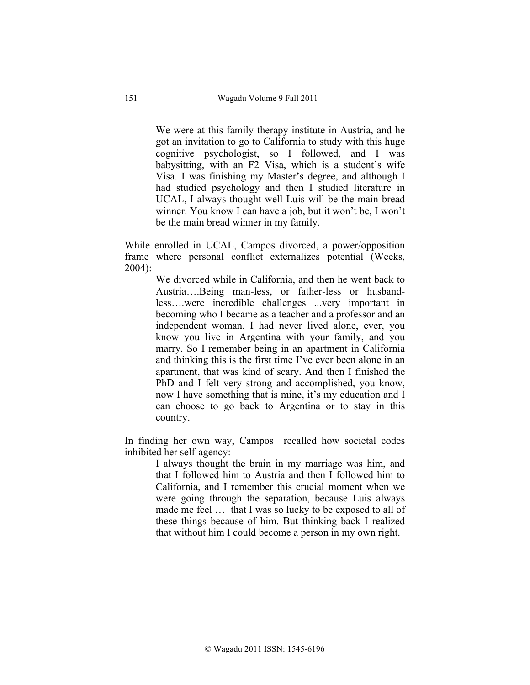We were at this family therapy institute in Austria, and he got an invitation to go to California to study with this huge cognitive psychologist, so I followed, and I was babysitting, with an F2 Visa, which is a student's wife Visa. I was finishing my Master's degree, and although I had studied psychology and then I studied literature in UCAL, I always thought well Luis will be the main bread winner. You know I can have a job, but it won't be, I won't be the main bread winner in my family.

While enrolled in UCAL, Campos divorced, a power/opposition frame where personal conflict externalizes potential (Weeks, 2004):

> We divorced while in California, and then he went back to Austria….Being man-less, or father-less or husbandless….were incredible challenges ...very important in becoming who I became as a teacher and a professor and an independent woman. I had never lived alone, ever, you know you live in Argentina with your family, and you marry. So I remember being in an apartment in California and thinking this is the first time I've ever been alone in an apartment, that was kind of scary. And then I finished the PhD and I felt very strong and accomplished, you know, now I have something that is mine, it's my education and I can choose to go back to Argentina or to stay in this country.

In finding her own way, Campos recalled how societal codes inhibited her self-agency:

> I always thought the brain in my marriage was him, and that I followed him to Austria and then I followed him to California, and I remember this crucial moment when we were going through the separation, because Luis always made me feel ... that I was so lucky to be exposed to all of these things because of him. But thinking back I realized that without him I could become a person in my own right.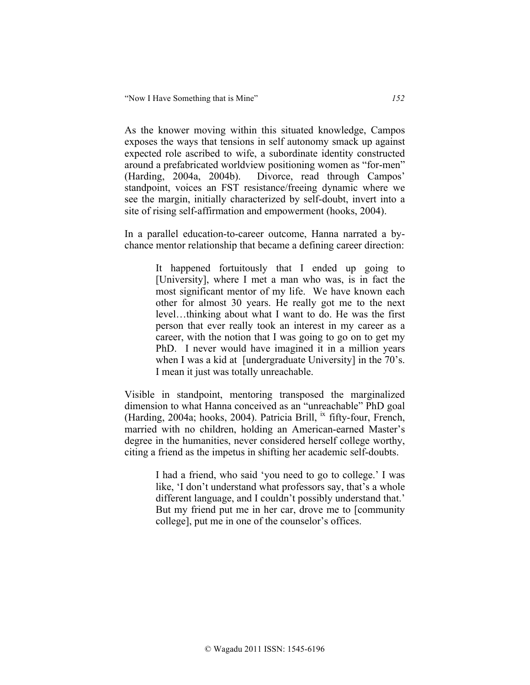As the knower moving within this situated knowledge, Campos exposes the ways that tensions in self autonomy smack up against expected role ascribed to wife, a subordinate identity constructed around a prefabricated worldview positioning women as "for-men" (Harding, 2004a, 2004b). Divorce, read through Campos' standpoint, voices an FST resistance/freeing dynamic where we see the margin, initially characterized by self-doubt, invert into a site of rising self-affirmation and empowerment (hooks, 2004).

In a parallel education-to-career outcome, Hanna narrated a bychance mentor relationship that became a defining career direction:

> It happened fortuitously that I ended up going to [University], where I met a man who was, is in fact the most significant mentor of my life. We have known each other for almost 30 years. He really got me to the next level…thinking about what I want to do. He was the first person that ever really took an interest in my career as a career, with the notion that I was going to go on to get my PhD. I never would have imagined it in a million years when I was a kid at [undergraduate University] in the 70's. I mean it just was totally unreachable.

Visible in standpoint, mentoring transposed the marginalized dimension to what Hanna conceived as an "unreachable" PhD goal (Harding, 2004a; hooks, 2004). Patricia Brill,  $\frac{1}{x}$  fifty-four, French, married with no children, holding an American-earned Master's degree in the humanities, never considered herself college worthy, citing a friend as the impetus in shifting her academic self-doubts.

> I had a friend, who said 'you need to go to college.' I was like, 'I don't understand what professors say, that's a whole different language, and I couldn't possibly understand that.' But my friend put me in her car, drove me to [community college], put me in one of the counselor's offices.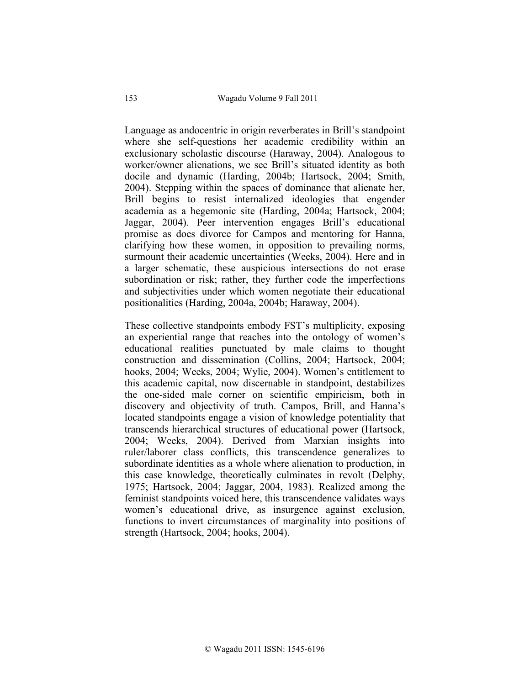Language as andocentric in origin reverberates in Brill's standpoint where she self-questions her academic credibility within an exclusionary scholastic discourse (Haraway, 2004). Analogous to worker/owner alienations, we see Brill's situated identity as both docile and dynamic (Harding, 2004b; Hartsock, 2004; Smith, 2004). Stepping within the spaces of dominance that alienate her, Brill begins to resist internalized ideologies that engender academia as a hegemonic site (Harding, 2004a; Hartsock, 2004; Jaggar, 2004). Peer intervention engages Brill's educational promise as does divorce for Campos and mentoring for Hanna, clarifying how these women, in opposition to prevailing norms, surmount their academic uncertainties (Weeks, 2004). Here and in a larger schematic, these auspicious intersections do not erase subordination or risk; rather, they further code the imperfections and subjectivities under which women negotiate their educational positionalities (Harding, 2004a, 2004b; Haraway, 2004).

These collective standpoints embody FST's multiplicity, exposing an experiential range that reaches into the ontology of women's educational realities punctuated by male claims to thought construction and dissemination (Collins, 2004; Hartsock, 2004; hooks, 2004; Weeks, 2004; Wylie, 2004). Women's entitlement to this academic capital, now discernable in standpoint, destabilizes the one-sided male corner on scientific empiricism, both in discovery and objectivity of truth. Campos, Brill, and Hanna's located standpoints engage a vision of knowledge potentiality that transcends hierarchical structures of educational power (Hartsock, 2004; Weeks, 2004). Derived from Marxian insights into ruler/laborer class conflicts, this transcendence generalizes to subordinate identities as a whole where alienation to production, in this case knowledge, theoretically culminates in revolt (Delphy, 1975; Hartsock, 2004; Jaggar, 2004, 1983). Realized among the feminist standpoints voiced here, this transcendence validates ways women's educational drive, as insurgence against exclusion, functions to invert circumstances of marginality into positions of strength (Hartsock, 2004; hooks, 2004).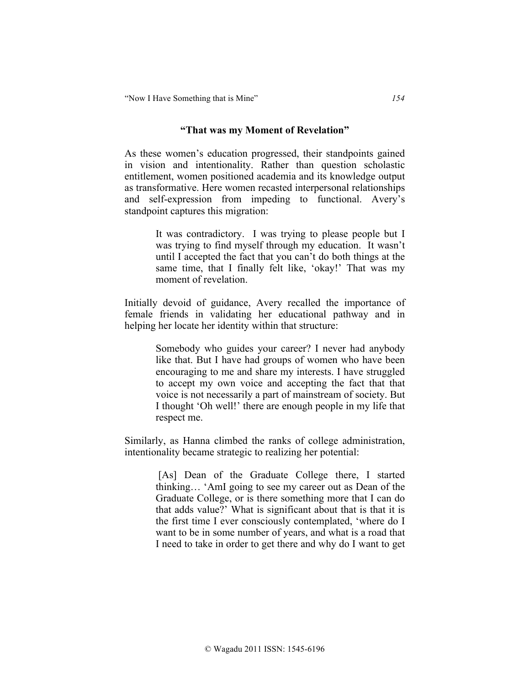"Now I Have Something that is Mine" *154*

#### **"That was my Moment of Revelation"**

As these women's education progressed, their standpoints gained in vision and intentionality. Rather than question scholastic entitlement, women positioned academia and its knowledge output as transformative. Here women recasted interpersonal relationships and self-expression from impeding to functional. Avery's standpoint captures this migration:

> It was contradictory. I was trying to please people but I was trying to find myself through my education. It wasn't until I accepted the fact that you can't do both things at the same time, that I finally felt like, 'okay!' That was my moment of revelation.

Initially devoid of guidance, Avery recalled the importance of female friends in validating her educational pathway and in helping her locate her identity within that structure:

> Somebody who guides your career? I never had anybody like that. But I have had groups of women who have been encouraging to me and share my interests. I have struggled to accept my own voice and accepting the fact that that voice is not necessarily a part of mainstream of society. But I thought 'Oh well!' there are enough people in my life that respect me.

Similarly, as Hanna climbed the ranks of college administration, intentionality became strategic to realizing her potential:

> [As] Dean of the Graduate College there, I started thinking… 'AmI going to see my career out as Dean of the Graduate College, or is there something more that I can do that adds value?' What is significant about that is that it is the first time I ever consciously contemplated, 'where do I want to be in some number of years, and what is a road that I need to take in order to get there and why do I want to get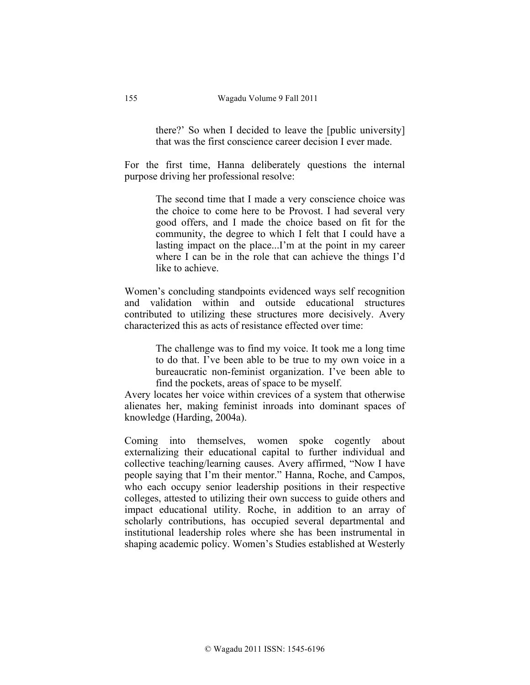there?' So when I decided to leave the [public university] that was the first conscience career decision I ever made.

For the first time, Hanna deliberately questions the internal purpose driving her professional resolve:

> The second time that I made a very conscience choice was the choice to come here to be Provost. I had several very good offers, and I made the choice based on fit for the community, the degree to which I felt that I could have a lasting impact on the place...I'm at the point in my career where I can be in the role that can achieve the things I'd like to achieve.

Women's concluding standpoints evidenced ways self recognition and validation within and outside educational structures contributed to utilizing these structures more decisively. Avery characterized this as acts of resistance effected over time:

> The challenge was to find my voice. It took me a long time to do that. I've been able to be true to my own voice in a bureaucratic non-feminist organization. I've been able to find the pockets, areas of space to be myself.

Avery locates her voice within crevices of a system that otherwise alienates her, making feminist inroads into dominant spaces of knowledge (Harding, 2004a).

Coming into themselves, women spoke cogently about externalizing their educational capital to further individual and collective teaching/learning causes. Avery affirmed, "Now I have people saying that I'm their mentor." Hanna, Roche, and Campos, who each occupy senior leadership positions in their respective colleges, attested to utilizing their own success to guide others and impact educational utility. Roche, in addition to an array of scholarly contributions, has occupied several departmental and institutional leadership roles where she has been instrumental in shaping academic policy. Women's Studies established at Westerly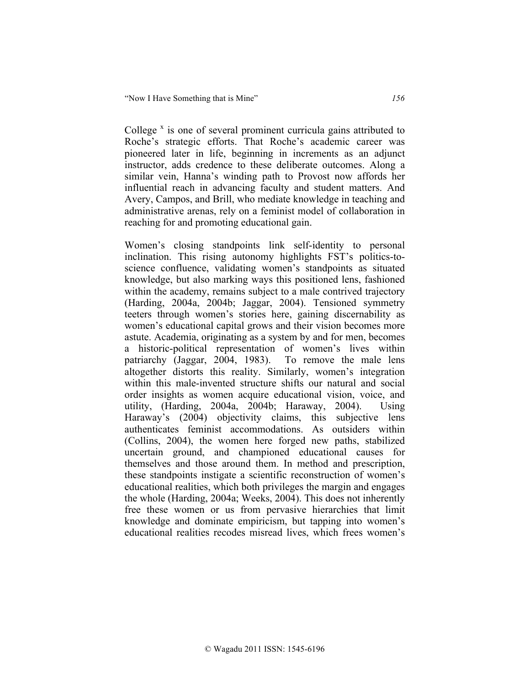College  $x$  is one of several prominent curricula gains attributed to Roche's strategic efforts. That Roche's academic career was pioneered later in life, beginning in increments as an adjunct instructor, adds credence to these deliberate outcomes. Along a similar vein, Hanna's winding path to Provost now affords her influential reach in advancing faculty and student matters. And Avery, Campos, and Brill, who mediate knowledge in teaching and administrative arenas, rely on a feminist model of collaboration in reaching for and promoting educational gain.

Women's closing standpoints link self-identity to personal inclination. This rising autonomy highlights FST's politics-toscience confluence, validating women's standpoints as situated knowledge, but also marking ways this positioned lens, fashioned within the academy, remains subject to a male contrived trajectory (Harding, 2004a, 2004b; Jaggar, 2004). Tensioned symmetry teeters through women's stories here, gaining discernability as women's educational capital grows and their vision becomes more astute. Academia, originating as a system by and for men, becomes a historic-political representation of women's lives within patriarchy (Jaggar, 2004, 1983). To remove the male lens altogether distorts this reality. Similarly, women's integration within this male-invented structure shifts our natural and social order insights as women acquire educational vision, voice, and utility, (Harding, 2004a, 2004b; Haraway, 2004). Using Haraway's (2004) objectivity claims, this subjective lens authenticates feminist accommodations. As outsiders within (Collins, 2004), the women here forged new paths, stabilized uncertain ground, and championed educational causes for themselves and those around them. In method and prescription, these standpoints instigate a scientific reconstruction of women's educational realities, which both privileges the margin and engages the whole (Harding, 2004a; Weeks, 2004). This does not inherently free these women or us from pervasive hierarchies that limit knowledge and dominate empiricism, but tapping into women's educational realities recodes misread lives, which frees women's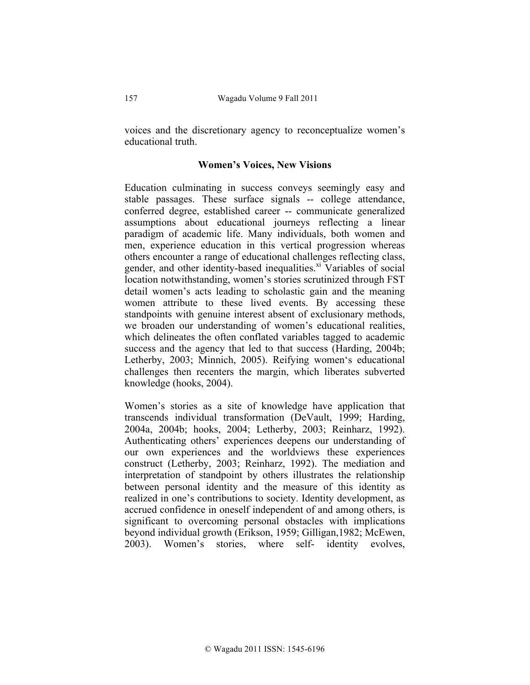voices and the discretionary agency to reconceptualize women's educational truth.

### **Women's Voices, New Visions**

Education culminating in success conveys seemingly easy and stable passages. These surface signals -- college attendance, conferred degree, established career -- communicate generalized assumptions about educational journeys reflecting a linear paradigm of academic life. Many individuals, both women and men, experience education in this vertical progression whereas others encounter a range of educational challenges reflecting class, gender, and other identity-based inequalities.<sup>xi</sup> Variables of social location notwithstanding, women's stories scrutinized through FST detail women's acts leading to scholastic gain and the meaning women attribute to these lived events. By accessing these standpoints with genuine interest absent of exclusionary methods, we broaden our understanding of women's educational realities, which delineates the often conflated variables tagged to academic success and the agency that led to that success (Harding, 2004b; Letherby, 2003; Minnich, 2005). Reifying women's educational challenges then recenters the margin, which liberates subverted knowledge (hooks, 2004).

Women's stories as a site of knowledge have application that transcends individual transformation (DeVault, 1999; Harding, 2004a, 2004b; hooks, 2004; Letherby, 2003; Reinharz, 1992). Authenticating others' experiences deepens our understanding of our own experiences and the worldviews these experiences construct (Letherby, 2003; Reinharz, 1992). The mediation and interpretation of standpoint by others illustrates the relationship between personal identity and the measure of this identity as realized in one's contributions to society. Identity development, as accrued confidence in oneself independent of and among others, is significant to overcoming personal obstacles with implications beyond individual growth (Erikson, 1959; Gilligan,1982; McEwen, 2003). Women's stories, where self- identity evolves,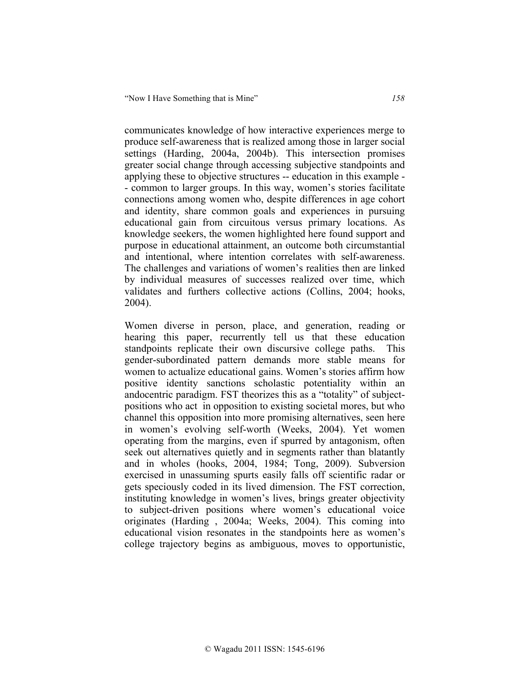communicates knowledge of how interactive experiences merge to produce self-awareness that is realized among those in larger social settings (Harding, 2004a, 2004b). This intersection promises greater social change through accessing subjective standpoints and applying these to objective structures -- education in this example - - common to larger groups. In this way, women's stories facilitate connections among women who, despite differences in age cohort and identity, share common goals and experiences in pursuing educational gain from circuitous versus primary locations. As knowledge seekers, the women highlighted here found support and purpose in educational attainment, an outcome both circumstantial and intentional, where intention correlates with self-awareness. The challenges and variations of women's realities then are linked by individual measures of successes realized over time, which validates and furthers collective actions (Collins, 2004; hooks, 2004).

Women diverse in person, place, and generation, reading or hearing this paper, recurrently tell us that these education standpoints replicate their own discursive college paths. This gender-subordinated pattern demands more stable means for women to actualize educational gains. Women's stories affirm how positive identity sanctions scholastic potentiality within an andocentric paradigm. FST theorizes this as a "totality" of subjectpositions who act in opposition to existing societal mores, but who channel this opposition into more promising alternatives, seen here in women's evolving self-worth (Weeks, 2004). Yet women operating from the margins, even if spurred by antagonism, often seek out alternatives quietly and in segments rather than blatantly and in wholes (hooks, 2004, 1984; Tong, 2009). Subversion exercised in unassuming spurts easily falls off scientific radar or gets speciously coded in its lived dimension. The FST correction, instituting knowledge in women's lives, brings greater objectivity to subject-driven positions where women's educational voice originates (Harding , 2004a; Weeks, 2004). This coming into educational vision resonates in the standpoints here as women's college trajectory begins as ambiguous, moves to opportunistic,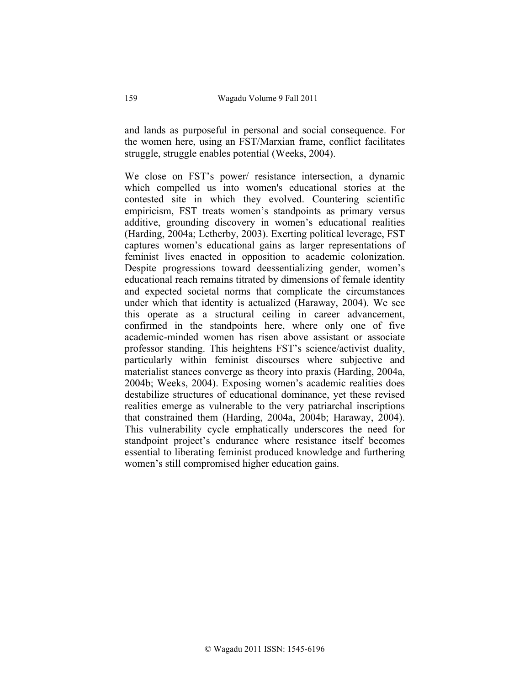and lands as purposeful in personal and social consequence. For the women here, using an FST/Marxian frame, conflict facilitates struggle, struggle enables potential (Weeks, 2004).

We close on FST's power/ resistance intersection, a dynamic which compelled us into women's educational stories at the contested site in which they evolved. Countering scientific empiricism, FST treats women's standpoints as primary versus additive, grounding discovery in women's educational realities (Harding, 2004a; Letherby, 2003). Exerting political leverage, FST captures women's educational gains as larger representations of feminist lives enacted in opposition to academic colonization. Despite progressions toward deessentializing gender, women's educational reach remains titrated by dimensions of female identity and expected societal norms that complicate the circumstances under which that identity is actualized (Haraway, 2004). We see this operate as a structural ceiling in career advancement, confirmed in the standpoints here, where only one of five academic-minded women has risen above assistant or associate professor standing. This heightens FST's science/activist duality, particularly within feminist discourses where subjective and materialist stances converge as theory into praxis (Harding, 2004a, 2004b; Weeks, 2004). Exposing women's academic realities does destabilize structures of educational dominance, yet these revised realities emerge as vulnerable to the very patriarchal inscriptions that constrained them (Harding, 2004a, 2004b; Haraway, 2004). This vulnerability cycle emphatically underscores the need for standpoint project's endurance where resistance itself becomes essential to liberating feminist produced knowledge and furthering women's still compromised higher education gains.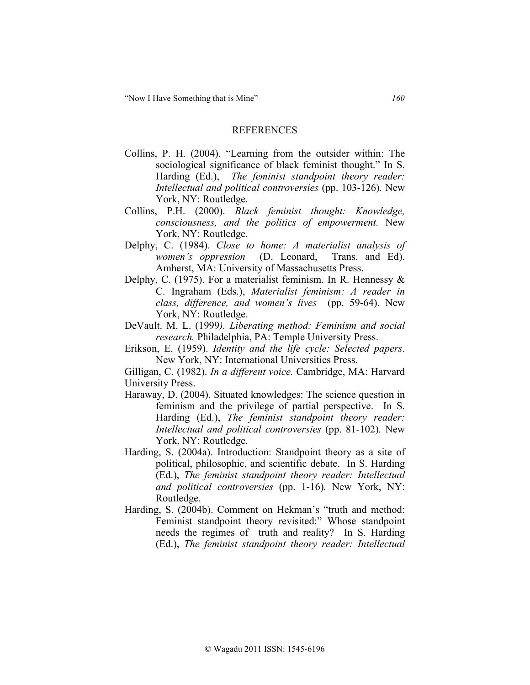#### REFERENCES

- Collins, P. H. (2004). "Learning from the outsider within: The sociological significance of black feminist thought." In S. Harding (Ed.), *The feminist standpoint theory reader: Intellectual and political controversies* (pp. 103-126)*.* New York, NY: Routledge.
- Collins, P.H. (2000). *Black feminist thought: Knowledge, consciousness, and the politics of empowerment.* New York, NY: Routledge.
- Delphy, C. (1984). *Close to home: A materialist analysis of women's oppression* (D. Leonard, Trans. and Ed). Amherst, MA: University of Massachusetts Press.
- Delphy, C. (1975). For a materialist feminism. In R. Hennessy & C. Ingraham (Eds.), *Materialist feminism: A reader in class, difference, and women's lives* (pp. 59-64). New York, NY: Routledge.
- DeVault. M. L. (1999*). Liberating method: Feminism and social research.* Philadelphia, PA: Temple University Press.
- Erikson, E. (1959). *Identity and the life cycle: Selected papers*. New York, NY: International Universities Press.

Gilligan, C. (1982). *In a different voice.* Cambridge, MA: Harvard University Press.

- Haraway, D. (2004). Situated knowledges: The science question in feminism and the privilege of partial perspective. In S. Harding (Ed.), *The feminist standpoint theory reader: Intellectual and political controversies* (pp. 81-102)*.* New York, NY: Routledge.
- Harding, S. (2004a). Introduction: Standpoint theory as a site of political, philosophic, and scientific debate. In S. Harding (Ed.), *The feminist standpoint theory reader: Intellectual and political controversies* (pp. 1-16)*.* New York, NY: Routledge.
- Harding, S. (2004b). Comment on Hekman's "truth and method: Feminist standpoint theory revisited:" Whose standpoint needs the regimes of truth and reality? In S. Harding (Ed.), *The feminist standpoint theory reader: Intellectual*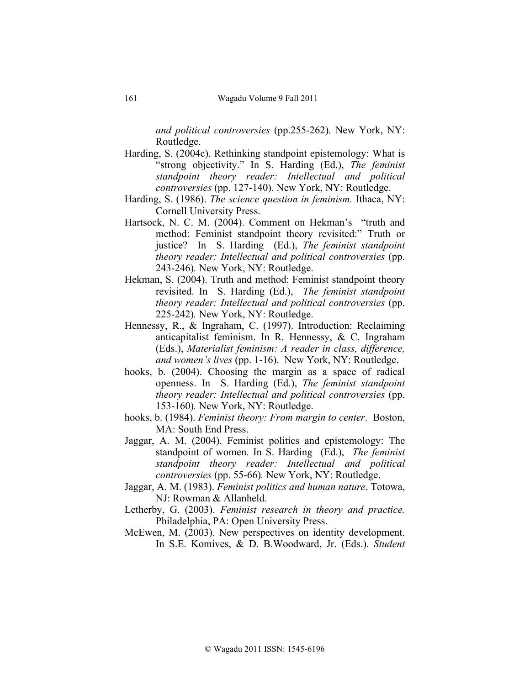*and political controversies* (pp.255-262)*.* New York, NY: Routledge.

- Harding, S. (2004c). Rethinking standpoint epistemology: What is "strong objectivity." In S. Harding (Ed.), *The feminist standpoint theory reader: Intellectual and political controversies* (pp. 127-140)*.* New York, NY: Routledge.
- Harding, S. (1986). *The science question in feminism.* Ithaca, NY: Cornell University Press.
- Hartsock, N. C. M. (2004). Comment on Hekman's "truth and method: Feminist standpoint theory revisited:" Truth or justice? In S. Harding (Ed.), *The feminist standpoint theory reader: Intellectual and political controversies* (pp. 243-246)*.* New York, NY: Routledge.
- Hekman, S. (2004). Truth and method: Feminist standpoint theory revisited. In S. Harding (Ed.), *The feminist standpoint theory reader: Intellectual and political controversies* (pp. 225-242)*.* New York, NY: Routledge.
- Hennessy, R., & Ingraham, C. (1997). Introduction: Reclaiming anticapitalist feminism. In R. Hennessy, & C. Ingraham (Eds.), *Materialist feminism: A reader in class, difference, and women's lives* (pp. 1-16). New York, NY: Routledge.
- hooks, b. (2004). Choosing the margin as a space of radical openness. In S. Harding (Ed.), *The feminist standpoint theory reader: Intellectual and political controversies* (pp. 153-160)*.* New York, NY: Routledge.
- hooks, b. (1984). *Feminist theory: From margin to center*. Boston, MA: South End Press.
- Jaggar, A. M. (2004). Feminist politics and epistemology: The standpoint of women. In S. Harding (Ed.), *The feminist standpoint theory reader: Intellectual and political controversies* (pp. 55-66)*.* New York, NY: Routledge.
- Jaggar, A. M. (1983). *Feminist politics and human nature*. Totowa, NJ: Rowman & Allanheld.
- Letherby, G. (2003). *Feminist research in theory and practice.* Philadelphia, PA: Open University Press.
- McEwen, M. (2003). New perspectives on identity development. In S.E. Komives, & D. B.Woodward, Jr. (Eds.). *Student*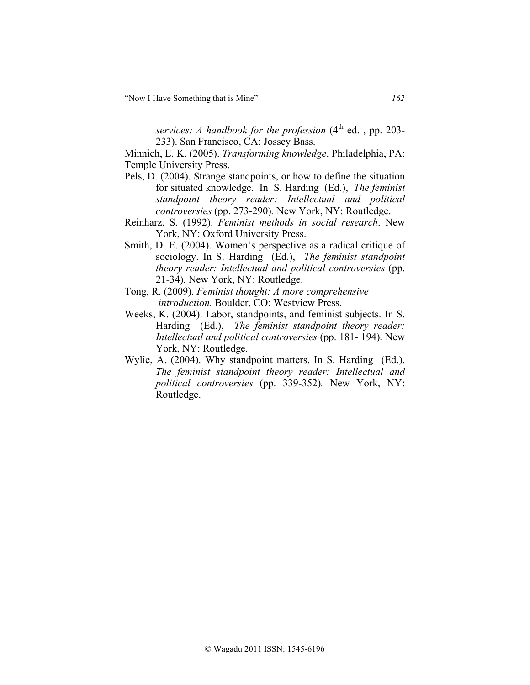"Now I Have Something that is Mine" *162*

*services: A handbook for the profession*  $(4<sup>th</sup>$  ed., pp. 203-233). San Francisco, CA: Jossey Bass.

Minnich, E. K. (2005). *Transforming knowledge*. Philadelphia, PA: Temple University Press.

- Pels, D. (2004). Strange standpoints, or how to define the situation for situated knowledge. In S. Harding (Ed.), *The feminist standpoint theory reader: Intellectual and political controversies* (pp. 273-290)*.* New York, NY: Routledge.
- Reinharz, S. (1992). *Feminist methods in social research*. New York, NY: Oxford University Press.
- Smith, D. E. (2004). Women's perspective as a radical critique of sociology. In S. Harding (Ed.), *The feminist standpoint theory reader: Intellectual and political controversies* (pp. 21-34)*.* New York, NY: Routledge.
- Tong, R. (2009). *Feminist thought: A more comprehensive introduction.* Boulder, CO: Westview Press.
- Weeks, K. (2004). Labor, standpoints, and feminist subjects. In S. Harding (Ed.), *The feminist standpoint theory reader: Intellectual and political controversies* (pp. 181- 194)*.* New York, NY: Routledge.
- Wylie, A. (2004). Why standpoint matters. In S. Harding (Ed.), *The feminist standpoint theory reader: Intellectual and political controversies* (pp. 339-352)*.* New York, NY: Routledge.